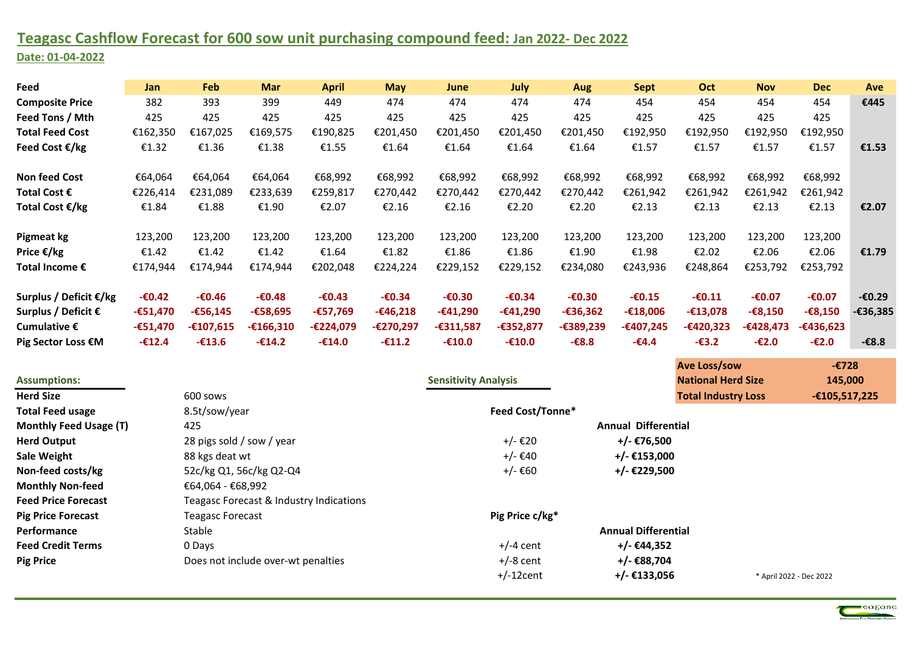## **Teagasc Cashflow Forecast for 600 sow unit purchasing compound feed: Jan 2022- Dec 2022 Date: 01-04-2022**

| Feed                     | Jan        | Feb         | <b>Mar</b>  | <b>April</b> | <b>May</b> | June        | <b>July</b> | Aug        | <b>Sept</b> | <b>Oct</b>  | <b>Nov</b>  | <b>Dec</b>      | <b>Ave</b> |
|--------------------------|------------|-------------|-------------|--------------|------------|-------------|-------------|------------|-------------|-------------|-------------|-----------------|------------|
| <b>Composite Price</b>   | 382        | 393         | 399         | 449          | 474        | 474         | 474         | 474        | 454         | 454         | 454         | 454             | €445       |
| Feed Tons / Mth          | 425        | 425         | 425         | 425          | 425        | 425         | 425         | 425        | 425         | 425         | 425         | 425             |            |
| <b>Total Feed Cost</b>   | €162,350   | €167,025    | €169,575    | €190,825     | €201,450   | €201,450    | €201,450    | €201,450   | €192,950    | €192,950    | €192,950    | €192,950        |            |
| Feed Cost $\epsilon$ /kg | €1.32      | €1.36       | €1.38       | €1.55        | €1.64      | €1.64       | €1.64       | €1.64      | €1.57       | €1.57       | €1.57       | €1.57           | €1.53      |
| <b>Non feed Cost</b>     | €64,064    | €64,064     | €64,064     | €68,992      | €68,992    | €68,992     | €68,992     | €68,992    | €68,992     | €68,992     | €68,992     | €68,992         |            |
| Total Cost €             | €226,414   | €231,089    | €233,639    | €259,817     | €270,442   | €270,442    | €270,442    | €270,442   | €261,942    | €261,942    | €261,942    | €261,942        |            |
| Total Cost €/kg          | €1.84      | €1.88       | €1.90       | €2.07        | €2.16      | €2.16       | €2.20       | €2.20      | €2.13       | €2.13       | €2.13       | €2.13           | €2.07      |
| Pigmeat kg               | 123,200    | 123,200     | 123,200     | 123,200      | 123,200    | 123,200     | 123,200     | 123,200    | 123,200     | 123,200     | 123,200     | 123,200         |            |
| Price €/kg               | €1.42      | €1.42       | €1.42       | €1.64        | €1.82      | €1.86       | €1.86       | €1.90      | €1.98       | €2.02       | €2.06       | €2.06           | €1.79      |
| Total Income €           | €174,944   | €174,944    | €174,944    | €202,048     | €224,224   | €229,152    | €229,152    | €234,080   | €243,936    | €248,864    | €253,792    | €253,792        |            |
| Surplus / Deficit €/kg   | $-60.42$   | $-60.46$    | $-60.48$    | $-60.43$     | $-60.34$   | $-60.30$    | $-60.34$    | $-60.30$   | $-60.15$    | $-60.11$    | $-60.07$    | $-60.07$        | $-60.29$   |
| Surplus / Deficit €      | $-651,470$ | $-£56,145$  | -€58,695    | $-£57,769$   | $-£46,218$ | $-£41,290$  | $-£41,290$  | $-636,362$ | $-£18,006$  | $-£13,078$  | $-68,150$   | $-68,150$       | $-€36,385$ |
| Cumulative $\epsilon$    | $-651,470$ | $-£107,615$ | $-£166,310$ | -€224,079    | -€270,297  | $-£311,587$ | -€352,877   | -€389,239  | -€407,245   | $-£420,323$ | $-£428,473$ | $-£436,623$     |            |
| Pig Sector Loss €M       | $-£12.4$   | $-£13.6$    | $-£14.2$    | $-£14.0$     | $-£11.2$   | $-£10.0$    | $-£10.0$    | $-6.83 -$  | $-64.4$     | $-63.2$     | $-£2.0$     | $-\epsilon$ 2.0 | $-6.8$     |

|                            |                                         |                             | <b>Ave Loss/sow</b>        | $-E728$                 |
|----------------------------|-----------------------------------------|-----------------------------|----------------------------|-------------------------|
| <b>Assumptions:</b>        |                                         | <b>Sensitivity Analysis</b> | <b>National Herd Size</b>  | 145,000                 |
| <b>Herd Size</b>           | 600 sows                                |                             | <b>Total Industry Loss</b> | $-£105,517,225$         |
| <b>Total Feed usage</b>    | 8.5t/sow/year                           | <b>Feed Cost/Tonne*</b>     |                            |                         |
| Monthly Feed Usage (T)     | 425                                     |                             | <b>Annual Differential</b> |                         |
| <b>Herd Output</b>         | 28 pigs sold / sow / year               | +/- €20                     | +/- €76,500                |                         |
| Sale Weight                | 88 kgs deat wt                          | +/- €40                     | +/- €153,000               |                         |
| Non-feed costs/kg          | 52c/kg Q1, 56c/kg Q2-Q4                 | +/- €60                     | +/- €229,500               |                         |
| <b>Monthly Non-feed</b>    | €64,064 - €68,992                       |                             |                            |                         |
| <b>Feed Price Forecast</b> | Teagasc Forecast & Industry Indications |                             |                            |                         |
| <b>Pig Price Forecast</b>  | <b>Teagasc Forecast</b>                 | Pig Price c/kg*             |                            |                         |
| Performance                | Stable                                  |                             | <b>Annual Differential</b> |                         |
| <b>Feed Credit Terms</b>   | 0 Days                                  | $+/-4$ cent                 | +/- €44,352                |                         |
| <b>Pig Price</b>           | Does not include over-wt penalties      | $+/-8$ cent                 | +/- €88,704                |                         |
|                            |                                         | $+/-12$ cent                | $+/-$ €133,056             | * April 2022 - Dec 2022 |